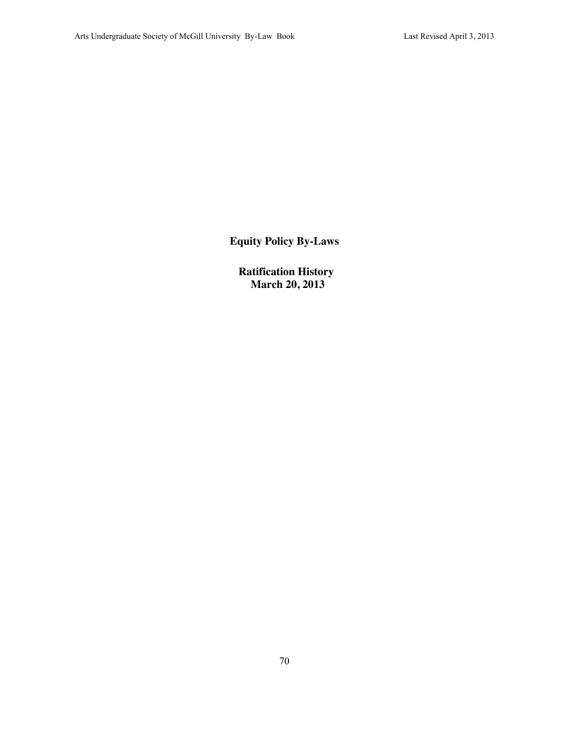**Equity Policy By-Laws**

**Ratification History March 20, 2013**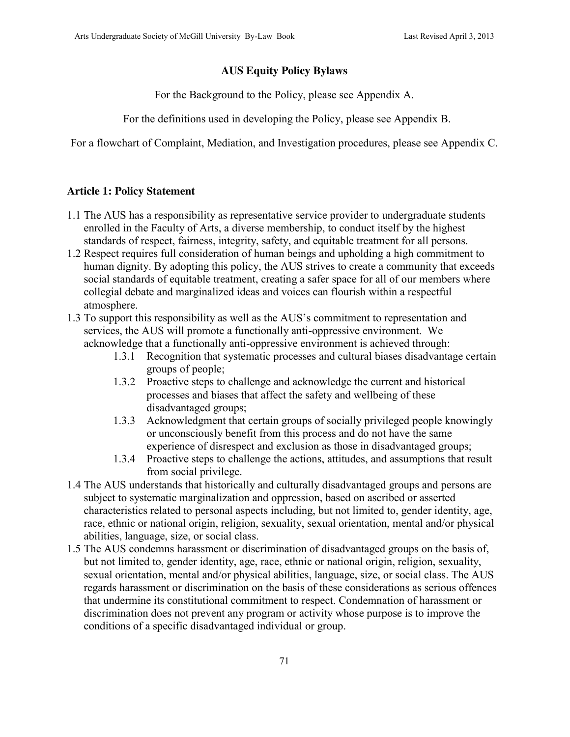#### **AUS Equity Policy Bylaws**

For the Background to the Policy, please see Appendix A.

For the definitions used in developing the Policy, please see Appendix B.

For a flowchart of Complaint, Mediation, and Investigation procedures, please see Appendix C.

#### **Article 1: Policy Statement**

- 1.1 The AUS has a responsibility as representative service provider to undergraduate students enrolled in the Faculty of Arts, a diverse membership, to conduct itself by the highest standards of respect, fairness, integrity, safety, and equitable treatment for all persons.
- 1.2 Respect requires full consideration of human beings and upholding a high commitment to human dignity. By adopting this policy, the AUS strives to create a community that exceeds social standards of equitable treatment, creating a safer space for all of our members where collegial debate and marginalized ideas and voices can flourish within a respectful atmosphere.
- 1.3 To support this responsibility as well as the AUS's commitment to representation and services, the AUS will promote a functionally anti-oppressive environment. We acknowledge that a functionally anti-oppressive environment is achieved through:
	- 1.3.1 Recognition that systematic processes and cultural biases disadvantage certain groups of people;
	- 1.3.2 Proactive steps to challenge and acknowledge the current and historical processes and biases that affect the safety and wellbeing of these disadvantaged groups;
	- 1.3.3 Acknowledgment that certain groups of socially privileged people knowingly or unconsciously benefit from this process and do not have the same experience of disrespect and exclusion as those in disadvantaged groups;
	- 1.3.4 Proactive steps to challenge the actions, attitudes, and assumptions that result from social privilege.
- 1.4 The AUS understands that historically and culturally disadvantaged groups and persons are subject to systematic marginalization and oppression, based on ascribed or asserted characteristics related to personal aspects including, but not limited to, gender identity, age, race, ethnic or national origin, religion, sexuality, sexual orientation, mental and/or physical abilities, language, size, or social class.
- 1.5 The AUS condemns harassment or discrimination of disadvantaged groups on the basis of, but not limited to, gender identity, age, race, ethnic or national origin, religion, sexuality, sexual orientation, mental and/or physical abilities, language, size, or social class. The AUS regards harassment or discrimination on the basis of these considerations as serious offences that undermine its constitutional commitment to respect. Condemnation of harassment or discrimination does not prevent any program or activity whose purpose is to improve the conditions of a specific disadvantaged individual or group.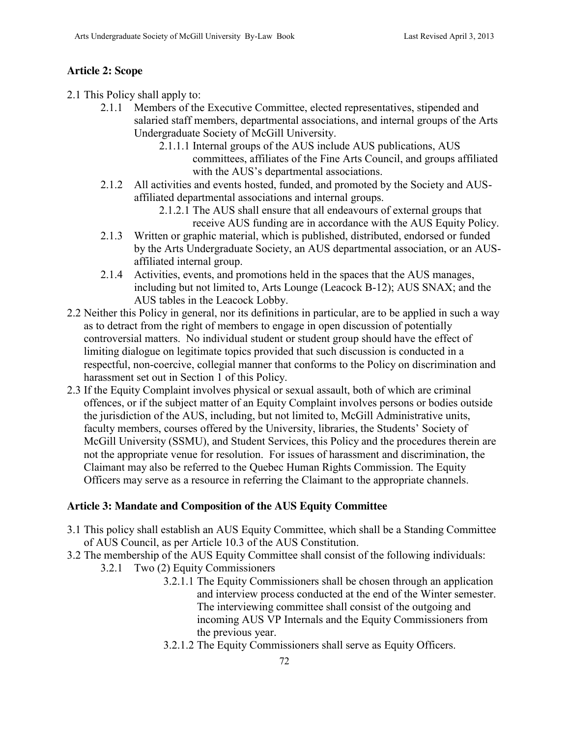## **Article 2: Scope**

2.1 This Policy shall apply to:

- 2.1.1 Members of the Executive Committee, elected representatives, stipended and salaried staff members, departmental associations, and internal groups of the Arts Undergraduate Society of McGill University.
	- 2.1.1.1 Internal groups of the AUS include AUS publications, AUS committees, affiliates of the Fine Arts Council, and groups affiliated with the AUS's departmental associations.
- 2.1.2 All activities and events hosted, funded, and promoted by the Society and AUSaffiliated departmental associations and internal groups.
	- 2.1.2.1 The AUS shall ensure that all endeavours of external groups that receive AUS funding are in accordance with the AUS Equity Policy.
- 2.1.3 Written or graphic material, which is published, distributed, endorsed or funded by the Arts Undergraduate Society, an AUS departmental association, or an AUSaffiliated internal group.
- 2.1.4 Activities, events, and promotions held in the spaces that the AUS manages, including but not limited to, Arts Lounge (Leacock B-12); AUS SNAX; and the AUS tables in the Leacock Lobby.
- 2.2 Neither this Policy in general, nor its definitions in particular, are to be applied in such a way as to detract from the right of members to engage in open discussion of potentially controversial matters. No individual student or student group should have the effect of limiting dialogue on legitimate topics provided that such discussion is conducted in a respectful, non-coercive, collegial manner that conforms to the Policy on discrimination and harassment set out in Section 1 of this Policy.
- 2.3 If the Equity Complaint involves physical or sexual assault, both of which are criminal offences, or if the subject matter of an Equity Complaint involves persons or bodies outside the jurisdiction of the AUS, including, but not limited to, McGill Administrative units, faculty members, courses offered by the University, libraries, the Students' Society of McGill University (SSMU), and Student Services, this Policy and the procedures therein are not the appropriate venue for resolution. For issues of harassment and discrimination, the Claimant may also be referred to the Quebec Human Rights Commission. The Equity Officers may serve as a resource in referring the Claimant to the appropriate channels.

# **Article 3: Mandate and Composition of the AUS Equity Committee**

- 3.1 This policy shall establish an AUS Equity Committee, which shall be a Standing Committee of AUS Council, as per Article 10.3 of the AUS Constitution.
- 3.2 The membership of the AUS Equity Committee shall consist of the following individuals:
	- 3.2.1 Two (2) Equity Commissioners
		- 3.2.1.1 The Equity Commissioners shall be chosen through an application and interview process conducted at the end of the Winter semester. The interviewing committee shall consist of the outgoing and incoming AUS VP Internals and the Equity Commissioners from the previous year.
		- 3.2.1.2 The Equity Commissioners shall serve as Equity Officers.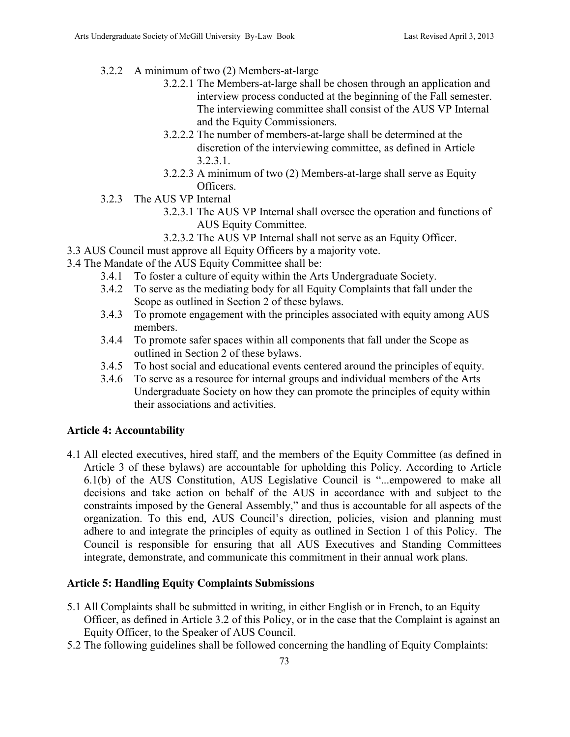- 3.2.2 A minimum of two (2) Members-at-large
	- 3.2.2.1 The Members-at-large shall be chosen through an application and interview process conducted at the beginning of the Fall semester. The interviewing committee shall consist of the AUS VP Internal and the Equity Commissioners.
	- 3.2.2.2 The number of members-at-large shall be determined at the discretion of the interviewing committee, as defined in Article 3.2.3.1.
	- 3.2.2.3 A minimum of two (2) Members-at-large shall serve as Equity Officers.
- 3.2.3 The AUS VP Internal
	- 3.2.3.1 The AUS VP Internal shall oversee the operation and functions of AUS Equity Committee.
		- 3.2.3.2 The AUS VP Internal shall not serve as an Equity Officer.
- 3.3 AUS Council must approve all Equity Officers by a majority vote.
- 3.4 The Mandate of the AUS Equity Committee shall be:
	- 3.4.1 To foster a culture of equity within the Arts Undergraduate Society.
	- 3.4.2 To serve as the mediating body for all Equity Complaints that fall under the Scope as outlined in Section 2 of these bylaws.
	- 3.4.3 To promote engagement with the principles associated with equity among AUS members.
	- 3.4.4 To promote safer spaces within all components that fall under the Scope as outlined in Section 2 of these bylaws.
	- 3.4.5 To host social and educational events centered around the principles of equity.
	- 3.4.6 To serve as a resource for internal groups and individual members of the Arts Undergraduate Society on how they can promote the principles of equity within their associations and activities.

# **Article 4: Accountability**

4.1 All elected executives, hired staff, and the members of the Equity Committee (as defined in Article 3 of these bylaws) are accountable for upholding this Policy. According to Article 6.1(b) of the AUS Constitution, AUS Legislative Council is "...empowered to make all decisions and take action on behalf of the AUS in accordance with and subject to the constraints imposed by the General Assembly," and thus is accountable for all aspects of the organization. To this end, AUS Council's direction, policies, vision and planning must adhere to and integrate the principles of equity as outlined in Section 1 of this Policy. The Council is responsible for ensuring that all AUS Executives and Standing Committees integrate, demonstrate, and communicate this commitment in their annual work plans.

# **Article 5: Handling Equity Complaints Submissions**

- 5.1 All Complaints shall be submitted in writing, in either English or in French, to an Equity Officer, as defined in Article 3.2 of this Policy, or in the case that the Complaint is against an Equity Officer, to the Speaker of AUS Council.
- 5.2 The following guidelines shall be followed concerning the handling of Equity Complaints: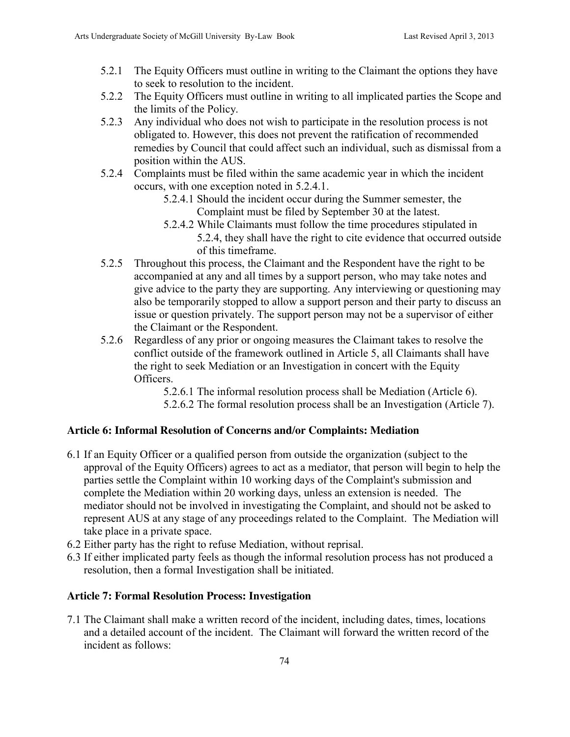- 5.2.1 The Equity Officers must outline in writing to the Claimant the options they have to seek to resolution to the incident.
- 5.2.2 The Equity Officers must outline in writing to all implicated parties the Scope and the limits of the Policy.
- 5.2.3 Any individual who does not wish to participate in the resolution process is not obligated to. However, this does not prevent the ratification of recommended remedies by Council that could affect such an individual, such as dismissal from a position within the AUS.
- 5.2.4 Complaints must be filed within the same academic year in which the incident occurs, with one exception noted in 5.2.4.1.
	- 5.2.4.1 Should the incident occur during the Summer semester, the Complaint must be filed by September 30 at the latest.
	- 5.2.4.2 While Claimants must follow the time procedures stipulated in 5.2.4, they shall have the right to cite evidence that occurred outside of this timeframe.
- 5.2.5 Throughout this process, the Claimant and the Respondent have the right to be accompanied at any and all times by a support person, who may take notes and give advice to the party they are supporting. Any interviewing or questioning may also be temporarily stopped to allow a support person and their party to discuss an issue or question privately. The support person may not be a supervisor of either the Claimant or the Respondent.
- 5.2.6 Regardless of any prior or ongoing measures the Claimant takes to resolve the conflict outside of the framework outlined in Article 5, all Claimants shall have the right to seek Mediation or an Investigation in concert with the Equity Officers.

5.2.6.1 The informal resolution process shall be Mediation (Article 6). 5.2.6.2 The formal resolution process shall be an Investigation (Article 7).

# **Article 6: Informal Resolution of Concerns and/or Complaints: Mediation**

- 6.1 If an Equity Officer or a qualified person from outside the organization (subject to the approval of the Equity Officers) agrees to act as a mediator, that person will begin to help the parties settle the Complaint within 10 working days of the Complaint's submission and complete the Mediation within 20 working days, unless an extension is needed. The mediator should not be involved in investigating the Complaint, and should not be asked to represent AUS at any stage of any proceedings related to the Complaint. The Mediation will take place in a private space.
- 6.2 Either party has the right to refuse Mediation, without reprisal.
- 6.3 If either implicated party feels as though the informal resolution process has not produced a resolution, then a formal Investigation shall be initiated.

### **Article 7: Formal Resolution Process: Investigation**

7.1 The Claimant shall make a written record of the incident, including dates, times, locations and a detailed account of the incident. The Claimant will forward the written record of the incident as follows: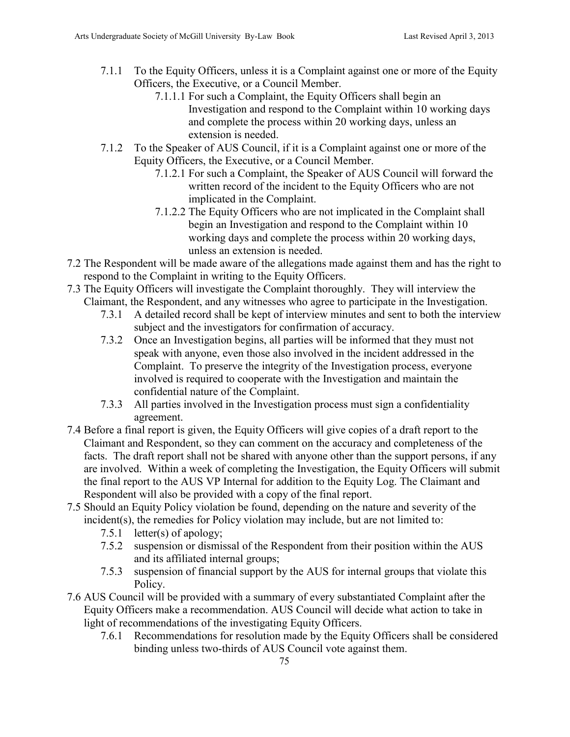- 7.1.1 To the Equity Officers, unless it is a Complaint against one or more of the Equity Officers, the Executive, or a Council Member.
	- 7.1.1.1 For such a Complaint, the Equity Officers shall begin an Investigation and respond to the Complaint within 10 working days and complete the process within 20 working days, unless an extension is needed.
- 7.1.2 To the Speaker of AUS Council, if it is a Complaint against one or more of the Equity Officers, the Executive, or a Council Member.
	- 7.1.2.1 For such a Complaint, the Speaker of AUS Council will forward the written record of the incident to the Equity Officers who are not implicated in the Complaint.
	- 7.1.2.2 The Equity Officers who are not implicated in the Complaint shall begin an Investigation and respond to the Complaint within 10 working days and complete the process within 20 working days, unless an extension is needed.
- 7.2 The Respondent will be made aware of the allegations made against them and has the right to respond to the Complaint in writing to the Equity Officers.
- 7.3 The Equity Officers will investigate the Complaint thoroughly. They will interview the Claimant, the Respondent, and any witnesses who agree to participate in the Investigation.
	- 7.3.1 A detailed record shall be kept of interview minutes and sent to both the interview subject and the investigators for confirmation of accuracy.
	- 7.3.2 Once an Investigation begins, all parties will be informed that they must not speak with anyone, even those also involved in the incident addressed in the Complaint. To preserve the integrity of the Investigation process, everyone involved is required to cooperate with the Investigation and maintain the confidential nature of the Complaint.
	- 7.3.3 All parties involved in the Investigation process must sign a confidentiality agreement.
- 7.4 Before a final report is given, the Equity Officers will give copies of a draft report to the Claimant and Respondent, so they can comment on the accuracy and completeness of the facts. The draft report shall not be shared with anyone other than the support persons, if any are involved. Within a week of completing the Investigation, the Equity Officers will submit the final report to the AUS VP Internal for addition to the Equity Log. The Claimant and Respondent will also be provided with a copy of the final report.
- 7.5 Should an Equity Policy violation be found, depending on the nature and severity of the incident(s), the remedies for Policy violation may include, but are not limited to:
	- 7.5.1 letter(s) of apology;
	- 7.5.2 suspension or dismissal of the Respondent from their position within the AUS and its affiliated internal groups;
	- 7.5.3 suspension of financial support by the AUS for internal groups that violate this Policy.
- 7.6 AUS Council will be provided with a summary of every substantiated Complaint after the Equity Officers make a recommendation. AUS Council will decide what action to take in light of recommendations of the investigating Equity Officers.
	- 7.6.1 Recommendations for resolution made by the Equity Officers shall be considered binding unless two-thirds of AUS Council vote against them.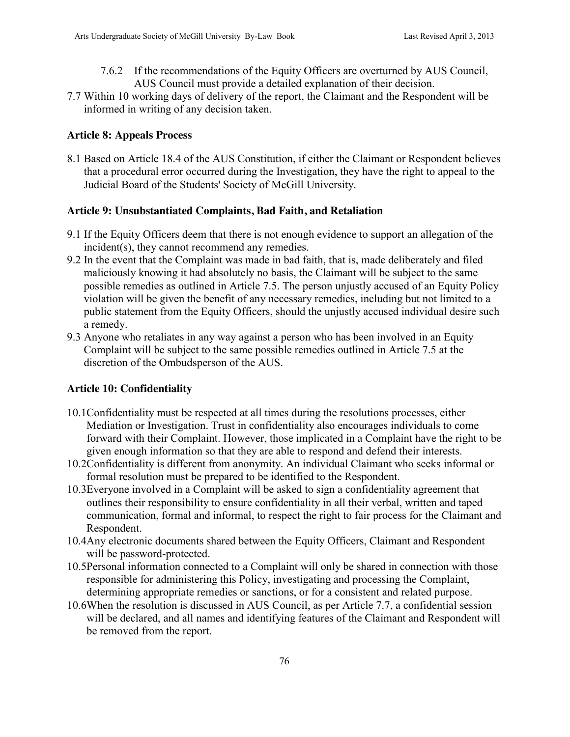- 7.6.2 If the recommendations of the Equity Officers are overturned by AUS Council, AUS Council must provide a detailed explanation of their decision.
- 7.7 Within 10 working days of delivery of the report, the Claimant and the Respondent will be informed in writing of any decision taken.

## **Article 8: Appeals Process**

8.1 Based on Article 18.4 of the AUS Constitution, if either the Claimant or Respondent believes that a procedural error occurred during the Investigation, they have the right to appeal to the Judicial Board of the Students' Society of McGill University.

### **Article 9: Unsubstantiated Complaints, Bad Faith, and Retaliation**

- 9.1 If the Equity Officers deem that there is not enough evidence to support an allegation of the incident(s), they cannot recommend any remedies.
- 9.2 In the event that the Complaint was made in bad faith, that is, made deliberately and filed maliciously knowing it had absolutely no basis, the Claimant will be subject to the same possible remedies as outlined in Article 7.5. The person unjustly accused of an Equity Policy violation will be given the benefit of any necessary remedies, including but not limited to a public statement from the Equity Officers, should the unjustly accused individual desire such a remedy.
- 9.3 Anyone who retaliates in any way against a person who has been involved in an Equity Complaint will be subject to the same possible remedies outlined in Article 7.5 at the discretion of the Ombudsperson of the AUS.

### **Article 10: Confidentiality**

- 10.1Confidentiality must be respected at all times during the resolutions processes, either Mediation or Investigation. Trust in confidentiality also encourages individuals to come forward with their Complaint. However, those implicated in a Complaint have the right to be given enough information so that they are able to respond and defend their interests.
- 10.2Confidentiality is different from anonymity. An individual Claimant who seeks informal or formal resolution must be prepared to be identified to the Respondent.
- 10.3Everyone involved in a Complaint will be asked to sign a confidentiality agreement that outlines their responsibility to ensure confidentiality in all their verbal, written and taped communication, formal and informal, to respect the right to fair process for the Claimant and Respondent.
- 10.4Any electronic documents shared between the Equity Officers, Claimant and Respondent will be password-protected.
- 10.5Personal information connected to a Complaint will only be shared in connection with those responsible for administering this Policy, investigating and processing the Complaint, determining appropriate remedies or sanctions, or for a consistent and related purpose.
- 10.6When the resolution is discussed in AUS Council, as per Article 7.7, a confidential session will be declared, and all names and identifying features of the Claimant and Respondent will be removed from the report.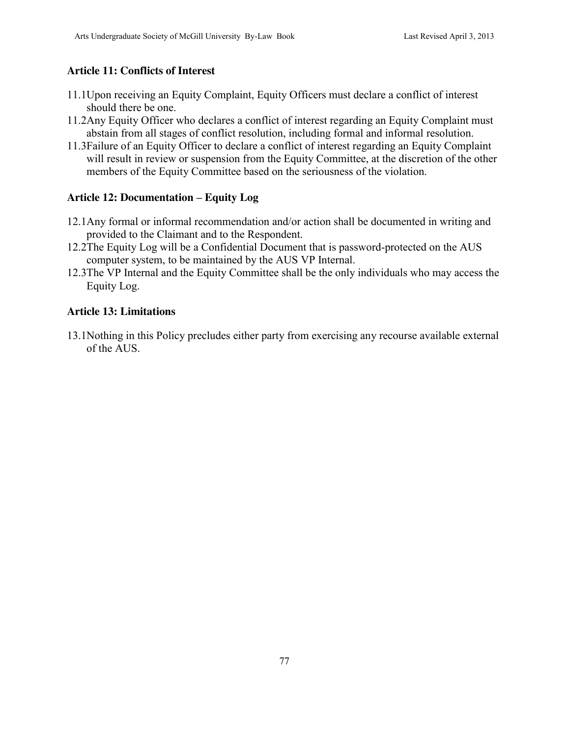# **Article 11: Conflicts of Interest**

- 11.1Upon receiving an Equity Complaint, Equity Officers must declare a conflict of interest should there be one.
- 11.2Any Equity Officer who declares a conflict of interest regarding an Equity Complaint must abstain from all stages of conflict resolution, including formal and informal resolution.
- 11.3Failure of an Equity Officer to declare a conflict of interest regarding an Equity Complaint will result in review or suspension from the Equity Committee, at the discretion of the other members of the Equity Committee based on the seriousness of the violation.

# **Article 12: Documentation – Equity Log**

- 12.1Any formal or informal recommendation and/or action shall be documented in writing and provided to the Claimant and to the Respondent.
- 12.2The Equity Log will be a Confidential Document that is password-protected on the AUS computer system, to be maintained by the AUS VP Internal.
- 12.3The VP Internal and the Equity Committee shall be the only individuals who may access the Equity Log.

### **Article 13: Limitations**

13.1Nothing in this Policy precludes either party from exercising any recourse available external of the AUS.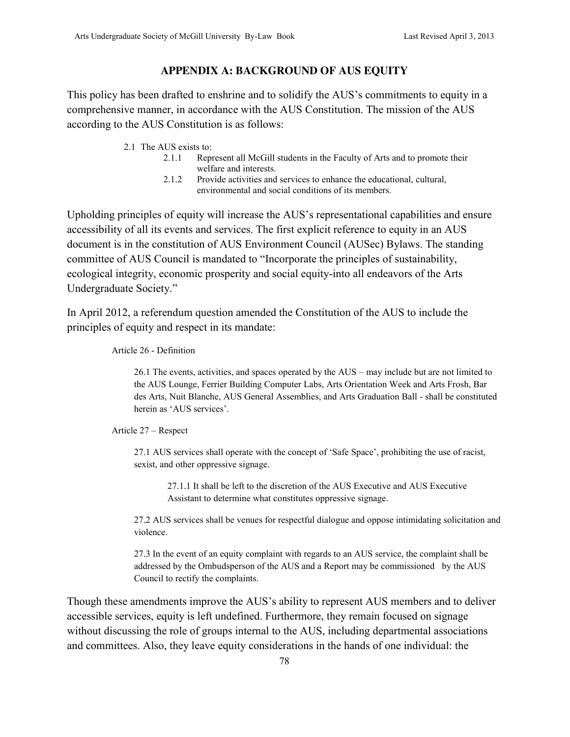#### **APPENDIX A: BACKGROUND OF AUS EQUITY**

This policy has been drafted to enshrine and to solidify the AUS's commitments to equity in a comprehensive manner, in accordance with the AUS Constitution. The mission of the AUS according to the AUS Constitution is as follows:

- 2.1 The AUS exists to:
	- 2.1.1 Represent all McGill students in the Faculty of Arts and to promote their welfare and interests.
	- 2.1.2 Provide activities and services to enhance the educational, cultural, environmental and social conditions of its members.

Upholding principles of equity will increase the AUS's representational capabilities and ensure accessibility of all its events and services. The first explicit reference to equity in an AUS document is in the constitution of AUS Environment Council (AUSec) Bylaws. The standing committee of AUS Council is mandated to "Incorporate the principles of sustainability, ecological integrity, economic prosperity and social equity-into all endeavors of the Arts Undergraduate Society."

In April 2012, a referendum question amended the Constitution of the AUS to include the principles of equity and respect in its mandate:

Article 26 - Definition

26.1 The events, activities, and spaces operated by the AUS – may include but are not limited to the AUS Lounge, Ferrier Building Computer Labs, Arts Orientation Week and Arts Frosh, Bar des Arts, Nuit Blanche, AUS General Assemblies, and Arts Graduation Ball - shall be constituted herein as 'AUS services'.

Article 27 – Respect

27.1 AUS services shall operate with the concept of 'Safe Space', prohibiting the use of racist, sexist, and other oppressive signage.

27.1.1 It shall be left to the discretion of the AUS Executive and AUS Executive Assistant to determine what constitutes oppressive signage.

27.2 AUS services shall be venues for respectful dialogue and oppose intimidating solicitation and violence.

27.3 In the event of an equity complaint with regards to an AUS service, the complaint shall be addressed by the Ombudsperson of the AUS and a Report may be commissioned by the AUS Council to rectify the complaints.

Though these amendments improve the AUS's ability to represent AUS members and to deliver accessible services, equity is left undefined. Furthermore, they remain focused on signage without discussing the role of groups internal to the AUS, including departmental associations and committees. Also, they leave equity considerations in the hands of one individual: the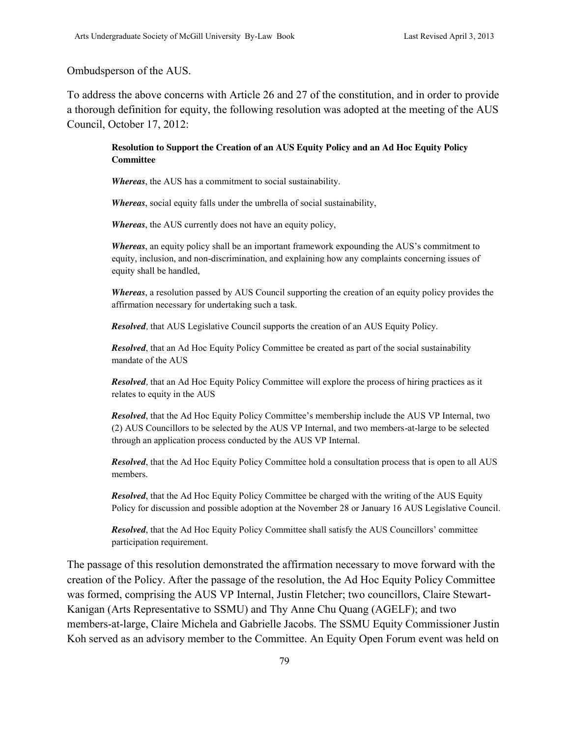#### Ombudsperson of the AUS.

To address the above concerns with Article 26 and 27 of the constitution, and in order to provide a thorough definition for equity, the following resolution was adopted at the meeting of the AUS Council, October 17, 2012:

#### **Resolution to Support the Creation of an AUS Equity Policy and an Ad Hoc Equity Policy Committee**

*Whereas*, the AUS has a commitment to social sustainability.

*Whereas*, social equity falls under the umbrella of social sustainability,

*Whereas*, the AUS currently does not have an equity policy,

*Whereas*, an equity policy shall be an important framework expounding the AUS's commitment to equity, inclusion, and non-discrimination, and explaining how any complaints concerning issues of equity shall be handled,

*Whereas*, a resolution passed by AUS Council supporting the creation of an equity policy provides the affirmation necessary for undertaking such a task.

*Resolved,* that AUS Legislative Council supports the creation of an AUS Equity Policy.

*Resolved*, that an Ad Hoc Equity Policy Committee be created as part of the social sustainability mandate of the AUS

*Resolved,* that an Ad Hoc Equity Policy Committee will explore the process of hiring practices as it relates to equity in the AUS

*Resolved*, that the Ad Hoc Equity Policy Committee's membership include the AUS VP Internal, two (2) AUS Councillors to be selected by the AUS VP Internal, and two members-at-large to be selected through an application process conducted by the AUS VP Internal.

*Resolved*, that the Ad Hoc Equity Policy Committee hold a consultation process that is open to all AUS members.

*Resolved*, that the Ad Hoc Equity Policy Committee be charged with the writing of the AUS Equity Policy for discussion and possible adoption at the November 28 or January 16 AUS Legislative Council.

*Resolved*, that the Ad Hoc Equity Policy Committee shall satisfy the AUS Councillors' committee participation requirement.

The passage of this resolution demonstrated the affirmation necessary to move forward with the creation of the Policy. After the passage of the resolution, the Ad Hoc Equity Policy Committee was formed, comprising the AUS VP Internal, Justin Fletcher; two councillors, Claire Stewart-Kanigan (Arts Representative to SSMU) and Thy Anne Chu Quang (AGELF); and two members-at-large, Claire Michela and Gabrielle Jacobs. The SSMU Equity Commissioner Justin Koh served as an advisory member to the Committee. An Equity Open Forum event was held on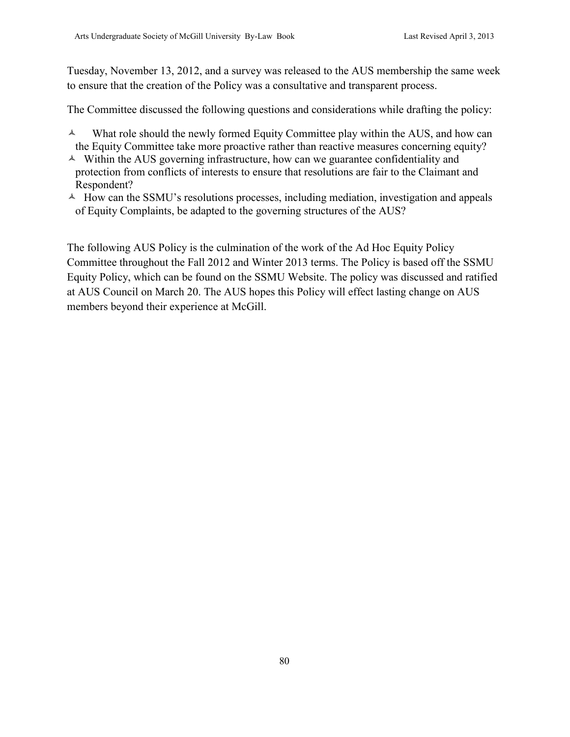Tuesday, November 13, 2012, and a survey was released to the AUS membership the same week to ensure that the creation of the Policy was a consultative and transparent process.

The Committee discussed the following questions and considerations while drafting the policy:

- $\lambda$  What role should the newly formed Equity Committee play within the AUS, and how can the Equity Committee take more proactive rather than reactive measures concerning equity?
- $\triangle$  Within the AUS governing infrastructure, how can we guarantee confidentiality and protection from conflicts of interests to ensure that resolutions are fair to the Claimant and Respondent?
- $\triangle$  How can the SSMU's resolutions processes, including mediation, investigation and appeals of Equity Complaints, be adapted to the governing structures of the AUS?

The following AUS Policy is the culmination of the work of the Ad Hoc Equity Policy Committee throughout the Fall 2012 and Winter 2013 terms. The Policy is based off the SSMU Equity Policy, which can be found on the SSMU Website. The policy was discussed and ratified at AUS Council on March 20. The AUS hopes this Policy will effect lasting change on AUS members beyond their experience at McGill.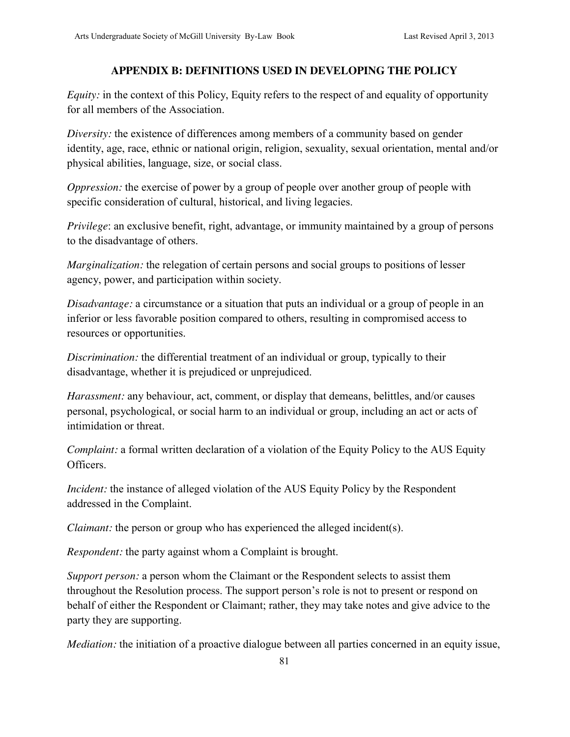### **APPENDIX B: DEFINITIONS USED IN DEVELOPING THE POLICY**

*Equity:* in the context of this Policy, Equity refers to the respect of and equality of opportunity for all members of the Association.

*Diversity:* the existence of differences among members of a community based on gender identity, age, race, ethnic or national origin, religion, sexuality, sexual orientation, mental and/or physical abilities, language, size, or social class.

*Oppression:* the exercise of power by a group of people over another group of people with specific consideration of cultural, historical, and living legacies.

*Privilege*: an exclusive benefit, right, advantage, or immunity maintained by a group of persons to the disadvantage of others.

*Marginalization:* the relegation of certain persons and social groups to positions of lesser agency, power, and participation within society.

*Disadvantage:* a circumstance or a situation that puts an individual or a group of people in an inferior or less favorable position compared to others, resulting in compromised access to resources or opportunities.

*Discrimination:* the differential treatment of an individual or group, typically to their disadvantage, whether it is prejudiced or unprejudiced.

*Harassment:* any behaviour, act, comment, or display that demeans, belittles, and/or causes personal, psychological, or social harm to an individual or group, including an act or acts of intimidation or threat.

*Complaint:* a formal written declaration of a violation of the Equity Policy to the AUS Equity Officers.

*Incident:* the instance of alleged violation of the AUS Equity Policy by the Respondent addressed in the Complaint.

*Claimant:* the person or group who has experienced the alleged incident(s).

*Respondent:* the party against whom a Complaint is brought.

*Support person:* a person whom the Claimant or the Respondent selects to assist them throughout the Resolution process. The support person's role is not to present or respond on behalf of either the Respondent or Claimant; rather, they may take notes and give advice to the party they are supporting.

*Mediation:* the initiation of a proactive dialogue between all parties concerned in an equity issue,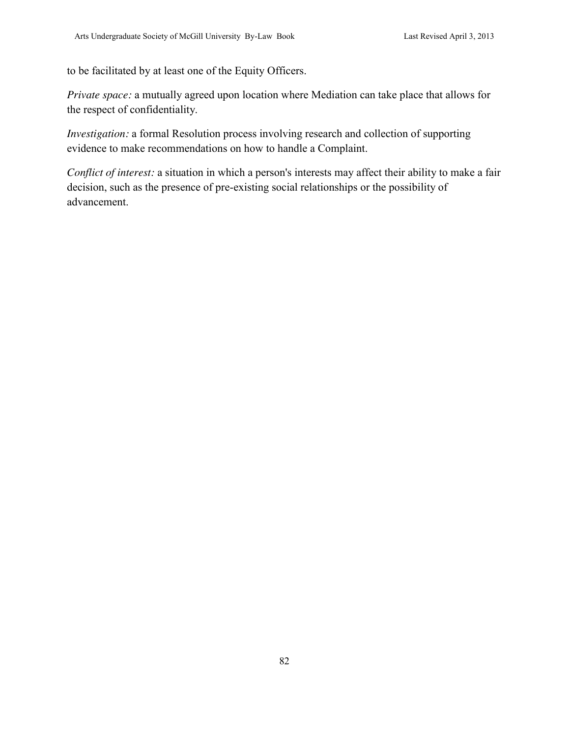to be facilitated by at least one of the Equity Officers.

*Private space:* a mutually agreed upon location where Mediation can take place that allows for the respect of confidentiality.

*Investigation:* a formal Resolution process involving research and collection of supporting evidence to make recommendations on how to handle a Complaint.

*Conflict of interest:* a situation in which a person's interests may affect their ability to make a fair decision, such as the presence of pre-existing social relationships or the possibility of advancement.